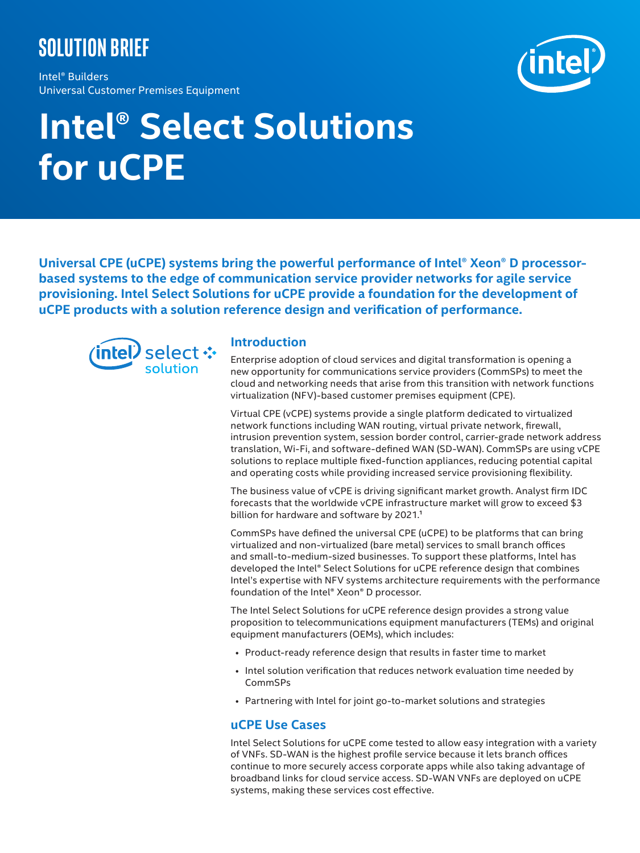# **Solution brief**

Intel® Builders Universal Customer Premises Equipment



# **Intel® Select Solutions for uCPE**

**Universal CPE (uCPE) systems bring the powerful performance of Intel® Xeon® D processorbased systems to the edge of communication service provider networks for agile service provisioning. Intel Select Solutions for uCPE provide a foundation for the development of uCPE products with a solution reference design and verification of performance.**



#### **Introduction**

Enterprise adoption of cloud services and digital transformation is opening a new opportunity for communications service providers (CommSPs) to meet the cloud and networking needs that arise from this transition with network functions virtualization (NFV)-based customer premises equipment (CPE).

Virtual CPE (vCPE) systems provide a single platform dedicated to virtualized network functions including WAN routing, virtual private network, firewall, intrusion prevention system, session border control, carrier-grade network address translation, Wi-Fi, and software-defined WAN (SD-WAN). CommSPs are using vCPE solutions to replace multiple fixed-function appliances, reducing potential capital and operating costs while providing increased service provisioning flexibility.

The business value of vCPE is driving significant market growth. Analyst firm IDC forecasts that the worldwide vCPE infrastructure market will grow to exceed \$3 billion for hardware and software by 2021.<sup>1</sup>

CommSPs have defined the universal CPE (uCPE) to be platforms that can bring virtualized and non-virtualized (bare metal) services to small branch offices and small-to-medium-sized businesses. To support these platforms, Intel has developed the Intel® Select Solutions for uCPE reference design that combines Intel's expertise with NFV systems architecture requirements with the performance foundation of the Intel® Xeon® D processor.

The Intel Select Solutions for uCPE reference design provides a strong value proposition to telecommunications equipment manufacturers (TEMs) and original equipment manufacturers (OEMs), which includes:

- Product-ready reference design that results in faster time to market
- Intel solution verification that reduces network evaluation time needed by CommSPs
- Partnering with Intel for joint go-to-market solutions and strategies

#### **uCPE Use Cases**

Intel Select Solutions for uCPE come tested to allow easy integration with a variety of VNFs. SD-WAN is the highest profile service because it lets branch offices continue to more securely access corporate apps while also taking advantage of broadband links for cloud service access. SD-WAN VNFs are deployed on uCPE systems, making these services cost effective.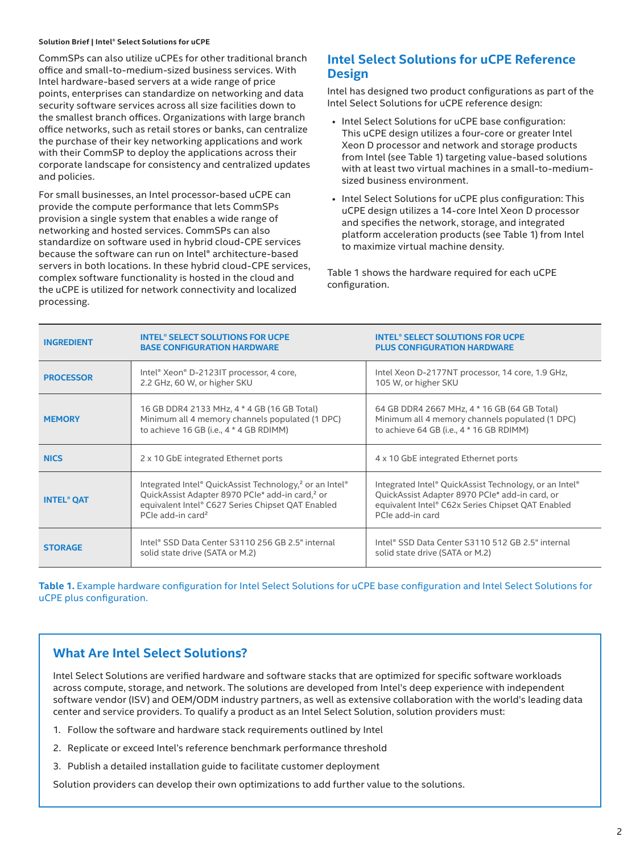#### **Solution Brief | Intel® Select Solutions for uCPE**

CommSPs can also utilize uCPEs for other traditional branch office and small-to-medium-sized business services. With Intel hardware-based servers at a wide range of price points, enterprises can standardize on networking and data security software services across all size facilities down to the smallest branch offices. Organizations with large branch office networks, such as retail stores or banks, can centralize the purchase of their key networking applications and work with their CommSP to deploy the applications across their corporate landscape for consistency and centralized updates and policies.

For small businesses, an Intel processor-based uCPE can provide the compute performance that lets CommSPs provision a single system that enables a wide range of networking and hosted services. CommSPs can also standardize on software used in hybrid cloud-CPE services because the software can run on Intel® architecture-based servers in both locations. In these hybrid cloud-CPE services, complex software functionality is hosted in the cloud and the uCPE is utilized for network connectivity and localized processing.

#### **Intel Select Solutions for uCPE Reference Design**

Intel has designed two product configurations as part of the Intel Select Solutions for uCPE reference design:

- Intel Select Solutions for uCPE base configuration: This uCPE design utilizes a four-core or greater Intel Xeon D processor and network and storage products from Intel (see Table 1) targeting value-based solutions with at least two virtual machines in a small-to-mediumsized business environment.
- Intel Select Solutions for uCPE plus configuration: This uCPE design utilizes a 14-core Intel Xeon D processor and specifies the network, storage, and integrated platform acceleration products (see Table 1) from Intel to maximize virtual machine density.

Table 1 shows the hardware required for each uCPE configuration.

| <b>INGREDIENT</b>            | <b>INTEL® SELECT SOLUTIONS FOR UCPE</b><br><b>BASE CONFIGURATION HARDWARE</b>                                                                                                                                            | <b>INTEL® SELECT SOLUTIONS FOR UCPE</b><br><b>PLUS CONFIGURATION HARDWARE</b>                                                                                                     |  |
|------------------------------|--------------------------------------------------------------------------------------------------------------------------------------------------------------------------------------------------------------------------|-----------------------------------------------------------------------------------------------------------------------------------------------------------------------------------|--|
| <b>PROCESSOR</b>             | Intel® Xeon® D-2123IT processor, 4 core,<br>2.2 GHz, 60 W, or higher SKU                                                                                                                                                 | Intel Xeon D-2177NT processor, 14 core, 1.9 GHz,<br>105 W, or higher SKU                                                                                                          |  |
| <b>MEMORY</b>                | 16 GB DDR4 2133 MHz, 4 * 4 GB (16 GB Total)<br>Minimum all 4 memory channels populated (1 DPC)<br>to achieve 16 GB (i.e., 4 * 4 GB RDIMM)                                                                                | 64 GB DDR4 2667 MHz, 4 * 16 GB (64 GB Total)<br>Minimum all 4 memory channels populated (1 DPC)<br>to achieve 64 GB (i.e., 4 * 16 GB RDIMM)                                       |  |
| <b>NICS</b>                  | 2 x 10 GbE integrated Ethernet ports                                                                                                                                                                                     | 4 x 10 GbE integrated Ethernet ports                                                                                                                                              |  |
| <b>INTEL<sup>®</sup> QAT</b> | Integrated Intel® QuickAssist Technology, <sup>2</sup> or an Intel®<br>QuickAssist Adapter 8970 PCIe* add-in card, <sup>2</sup> or<br>equivalent Intel® C627 Series Chipset QAT Enabled<br>PCIe add-in card <sup>2</sup> | Integrated Intel® QuickAssist Technology, or an Intel®<br>QuickAssist Adapter 8970 PCIe* add-in card, or<br>equivalent Intel® C62x Series Chipset QAT Enabled<br>PCIe add-in card |  |
| <b>STORAGE</b>               | Intel® SSD Data Center S3110 256 GB 2.5" internal<br>solid state drive (SATA or M.2)                                                                                                                                     | Intel® SSD Data Center S3110 512 GB 2.5" internal<br>solid state drive (SATA or M.2)                                                                                              |  |

**Table 1.** Example hardware configuration for Intel Select Solutions for uCPE base configuration and Intel Select Solutions for uCPE plus configuration.

# **What Are Intel Select Solutions?**

Intel Select Solutions are verified hardware and software stacks that are optimized for specific software workloads across compute, storage, and network. The solutions are developed from Intel's deep experience with independent software vendor (ISV) and OEM/ODM industry partners, as well as extensive collaboration with the world's leading data center and service providers. To qualify a product as an Intel Select Solution, solution providers must:

- 1. Follow the software and hardware stack requirements outlined by Intel
- 2. Replicate or exceed Intel's reference benchmark performance threshold
- 3. Publish a detailed installation guide to facilitate customer deployment

Solution providers can develop their own optimizations to add further value to the solutions.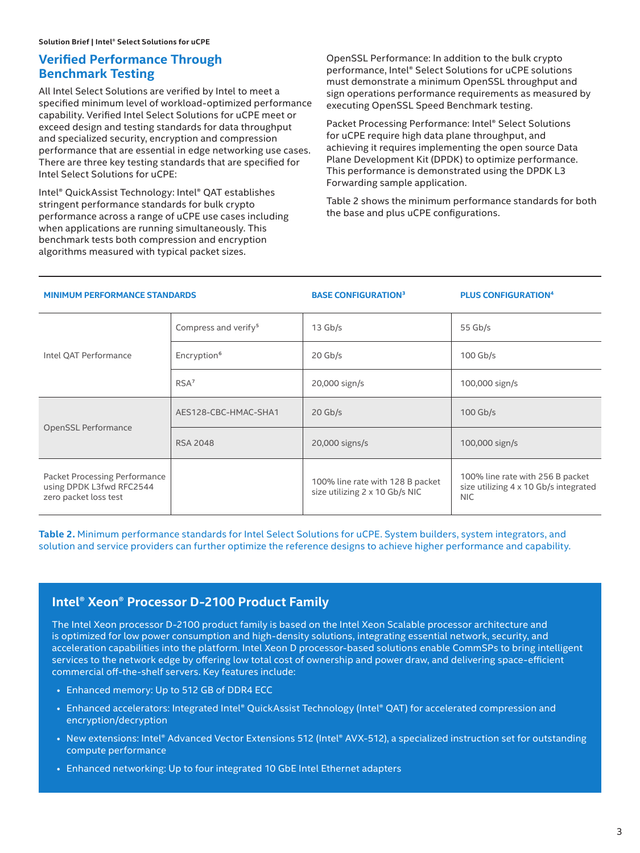### **Verified Performance Through Benchmark Testing**

All Intel Select Solutions are verified by Intel to meet a specified minimum level of workload-optimized performance capability. Verified Intel Select Solutions for uCPE meet or exceed design and testing standards for data throughput and specialized security, encryption and compression performance that are essential in edge networking use cases. There are three key testing standards that are specified for Intel Select Solutions for uCPE:

Intel® QuickAssist Technology: Intel® QAT establishes stringent performance standards for bulk crypto performance across a range of uCPE use cases including when applications are running simultaneously. This benchmark tests both compression and encryption algorithms measured with typical packet sizes.

OpenSSL Performance: In addition to the bulk crypto performance, Intel® Select Solutions for uCPE solutions must demonstrate a minimum OpenSSL throughput and sign operations performance requirements as measured by executing OpenSSL Speed Benchmark testing.

Packet Processing Performance: Intel® Select Solutions for uCPE require high data plane throughput, and achieving it requires implementing the open source Data Plane Development Kit (DPDK) to optimize performance. This performance is demonstrated using the DPDK L3 Forwarding sample application.

Table 2 shows the minimum performance standards for both the base and plus uCPE configurations.

#### **MINIMUM PERFORMANCE STANDARDS BASE CONFIGURATION<sup>3</sup> PLUS CONFIGURATION<sup>4</sup>**

|                                                                                    | Compress and verify <sup>5</sup> | $13$ Gb/s                                                          | 55 $Gb/s$                                                                               |
|------------------------------------------------------------------------------------|----------------------------------|--------------------------------------------------------------------|-----------------------------------------------------------------------------------------|
| Intel QAT Performance                                                              | Encryption <sup>6</sup>          | $20$ Gb/s                                                          | $100$ Gb/s                                                                              |
|                                                                                    | RSA <sup>7</sup>                 | 20,000 sign/s                                                      | 100,000 sign/s                                                                          |
|                                                                                    | AES128-CBC-HMAC-SHA1             | $20$ Gb/s                                                          | $100$ Gb/s                                                                              |
| OpenSSL Performance                                                                | <b>RSA 2048</b>                  | 20,000 signs/s                                                     | 100,000 sign/s                                                                          |
| Packet Processing Performance<br>using DPDK L3fwd RFC2544<br>zero packet loss test |                                  | 100% line rate with 128 B packet<br>size utilizing 2 x 10 Gb/s NIC | 100% line rate with 256 B packet<br>size utilizing 4 x 10 Gb/s integrated<br><b>NIC</b> |

**Table 2.** Minimum performance standards for Intel Select Solutions for uCPE. System builders, system integrators, and solution and service providers can further optimize the reference designs to achieve higher performance and capability.

### **Intel® Xeon® Processor D-2100 Product Family**

The Intel Xeon processor D-2100 product family is based on the Intel Xeon Scalable processor architecture and is optimized for low power consumption and high-density solutions, integrating essential network, security, and acceleration capabilities into the platform. Intel Xeon D processor-based solutions enable CommSPs to bring intelligent services to the network edge by offering low total cost of ownership and power draw, and delivering space-efficient commercial off-the-shelf servers. Key features include:

- Enhanced memory: Up to 512 GB of DDR4 ECC
- Enhanced accelerators: Integrated Intel® QuickAssist Technology (Intel® QAT) for accelerated compression and encryption/decryption
- New extensions: Intel® Advanced Vector Extensions 512 (Intel® AVX-512), a specialized instruction set for outstanding compute performance
- Enhanced networking: Up to four integrated 10 GbE Intel Ethernet adapters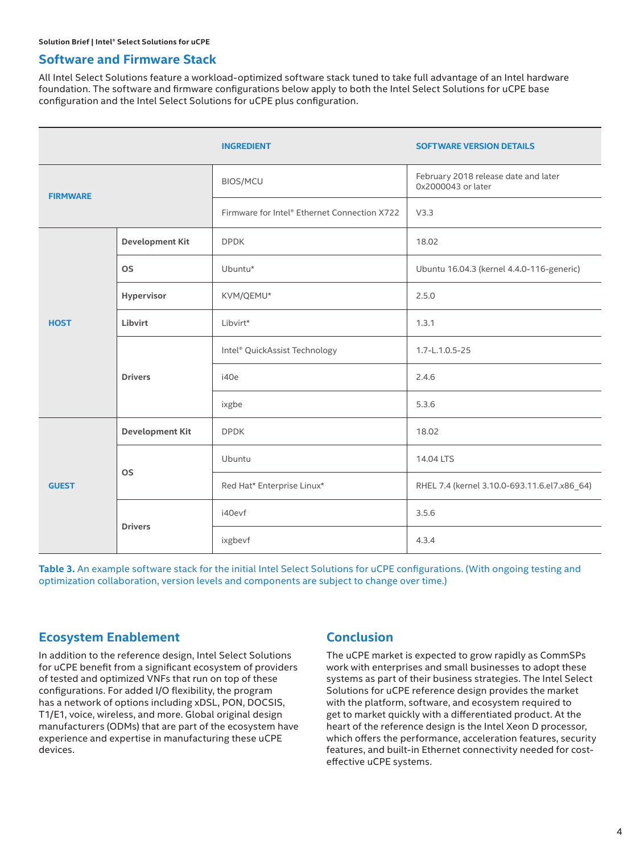#### **Software and Firmware Stack**

All Intel Select Solutions feature a workload-optimized software stack tuned to take full advantage of an Intel hardware foundation. The software and firmware configurations below apply to both the Intel Select Solutions for uCPE base configuration and the Intel Select Solutions for uCPE plus configuration.

|                 |                        | <b>INGREDIENT</b>                            | <b>SOFTWARE VERSION DETAILS</b>                            |  |
|-----------------|------------------------|----------------------------------------------|------------------------------------------------------------|--|
| <b>FIRMWARE</b> |                        | <b>BIOS/MCU</b>                              | February 2018 release date and later<br>0x2000043 or later |  |
|                 |                        | Firmware for Intel® Ethernet Connection X722 | V3.3                                                       |  |
| <b>HOST</b>     | <b>Development Kit</b> | <b>DPDK</b>                                  | 18.02                                                      |  |
|                 | <b>OS</b>              | Ubuntu*                                      | Ubuntu 16.04.3 (kernel 4.4.0-116-generic)                  |  |
|                 | Hypervisor             | KVM/QEMU*                                    | 2.5.0                                                      |  |
|                 | Libvirt                | Libvirt*                                     | 1.3.1                                                      |  |
|                 | <b>Drivers</b>         | Intel® QuickAssist Technology                | 1.7-L.1.0.5-25                                             |  |
|                 |                        | i40e                                         | 2.4.6                                                      |  |
|                 |                        | ixgbe                                        | 5.3.6                                                      |  |
| <b>GUEST</b>    | <b>Development Kit</b> | <b>DPDK</b>                                  | 18.02                                                      |  |
|                 | <b>OS</b>              | Ubuntu                                       | 14.04 LTS                                                  |  |
|                 |                        | Red Hat* Enterprise Linux*                   | RHEL 7.4 (kernel 3.10.0-693.11.6.el7.x86_64)               |  |
|                 | <b>Drivers</b>         | i40evf                                       | 3.5.6                                                      |  |
|                 |                        | ixgbevf                                      | 4.3.4                                                      |  |

Table 3. An example software stack for the initial Intel Select Solutions for uCPE configurations. (With ongoing testing and optimization collaboration, version levels and components are subject to change over time.)

#### **Ecosystem Enablement**

In addition to the reference design, Intel Select Solutions for uCPE benefit from a significant ecosystem of providers of tested and optimized VNFs that run on top of these configurations. For added I/O flexibility, the program has a network of options including xDSL, PON, DOCSIS, T1/E1, voice, wireless, and more. Global original design manufacturers (ODMs) that are part of the ecosystem have experience and expertise in manufacturing these uCPE devices.

# **Conclusion**

The uCPE market is expected to grow rapidly as CommSPs work with enterprises and small businesses to adopt these systems as part of their business strategies. The Intel Select Solutions for uCPE reference design provides the market with the platform, software, and ecosystem required to get to market quickly with a differentiated product. At the heart of the reference design is the Intel Xeon D processor, which offers the performance, acceleration features, security features, and built-in Ethernet connectivity needed for costeffective uCPE systems.